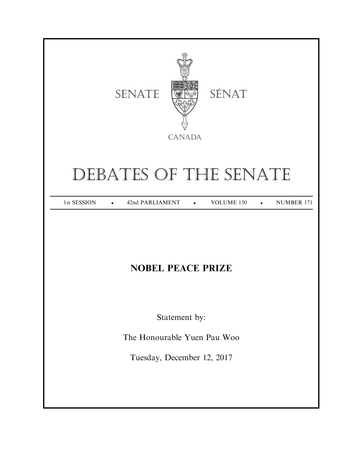